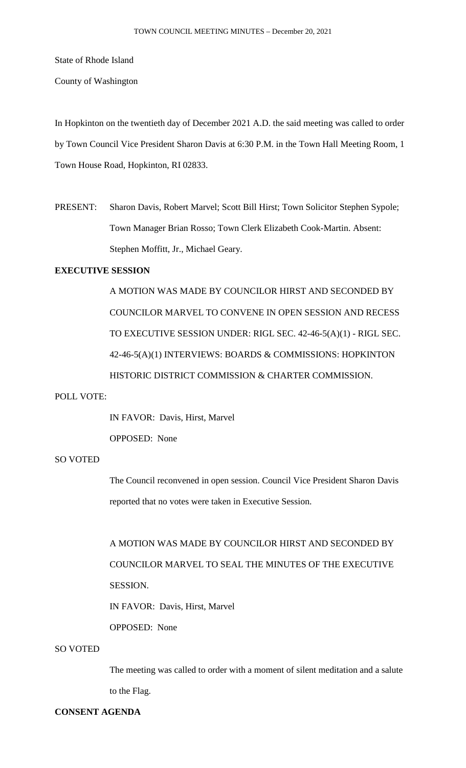State of Rhode Island

County of Washington

In Hopkinton on the twentieth day of December 2021 A.D. the said meeting was called to order by Town Council Vice President Sharon Davis at 6:30 P.M. in the Town Hall Meeting Room, 1 Town House Road, Hopkinton, RI 02833.

PRESENT: Sharon Davis, Robert Marvel; Scott Bill Hirst; Town Solicitor Stephen Sypole; Town Manager Brian Rosso; Town Clerk Elizabeth Cook-Martin. Absent: Stephen Moffitt, Jr., Michael Geary.

# **EXECUTIVE SESSION**

A MOTION WAS MADE BY COUNCILOR HIRST AND SECONDED BY COUNCILOR MARVEL TO CONVENE IN OPEN SESSION AND RECESS TO EXECUTIVE SESSION UNDER: RIGL SEC. 42-46-5(A)(1) - RIGL SEC. 42-46-5(A)(1) INTERVIEWS: BOARDS & COMMISSIONS: HOPKINTON HISTORIC DISTRICT COMMISSION & CHARTER COMMISSION.

## POLL VOTE:

IN FAVOR: Davis, Hirst, Marvel

OPPOSED: None

## SO VOTED

The Council reconvened in open session. Council Vice President Sharon Davis reported that no votes were taken in Executive Session.

A MOTION WAS MADE BY COUNCILOR HIRST AND SECONDED BY COUNCILOR MARVEL TO SEAL THE MINUTES OF THE EXECUTIVE SESSION.

IN FAVOR: Davis, Hirst, Marvel

OPPOSED: None

## SO VOTED

The meeting was called to order with a moment of silent meditation and a salute to the Flag.

## **CONSENT AGENDA**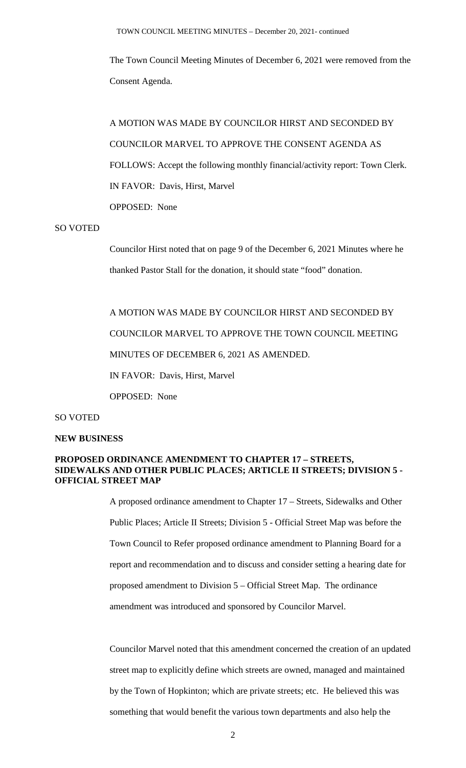The Town Council Meeting Minutes of December 6, 2021 were removed from the Consent Agenda.

A MOTION WAS MADE BY COUNCILOR HIRST AND SECONDED BY COUNCILOR MARVEL TO APPROVE THE CONSENT AGENDA AS FOLLOWS: Accept the following monthly financial/activity report: Town Clerk. IN FAVOR: Davis, Hirst, Marvel OPPOSED: None

#### SO VOTED

Councilor Hirst noted that on page 9 of the December 6, 2021 Minutes where he thanked Pastor Stall for the donation, it should state "food" donation.

A MOTION WAS MADE BY COUNCILOR HIRST AND SECONDED BY COUNCILOR MARVEL TO APPROVE THE TOWN COUNCIL MEETING MINUTES OF DECEMBER 6, 2021 AS AMENDED. IN FAVOR: Davis, Hirst, Marvel OPPOSED: None

#### SO VOTED

### **NEW BUSINESS**

## **PROPOSED ORDINANCE AMENDMENT TO CHAPTER 17 – STREETS, SIDEWALKS AND OTHER PUBLIC PLACES; ARTICLE II STREETS; DIVISION 5 - OFFICIAL STREET MAP**

A proposed ordinance amendment to Chapter 17 – Streets, Sidewalks and Other Public Places; Article II Streets; Division 5 - Official Street Map was before the Town Council to Refer proposed ordinance amendment to Planning Board for a report and recommendation and to discuss and consider setting a hearing date for proposed amendment to Division 5 – Official Street Map. The ordinance amendment was introduced and sponsored by Councilor Marvel.

Councilor Marvel noted that this amendment concerned the creation of an updated street map to explicitly define which streets are owned, managed and maintained by the Town of Hopkinton; which are private streets; etc. He believed this was something that would benefit the various town departments and also help the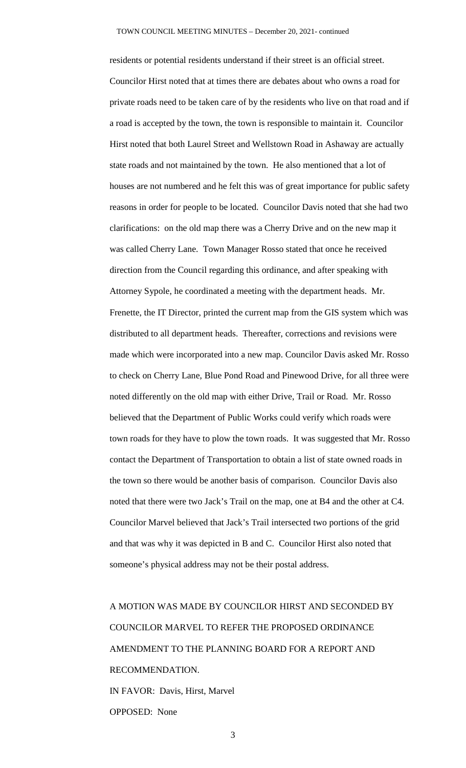residents or potential residents understand if their street is an official street. Councilor Hirst noted that at times there are debates about who owns a road for private roads need to be taken care of by the residents who live on that road and if a road is accepted by the town, the town is responsible to maintain it. Councilor Hirst noted that both Laurel Street and Wellstown Road in Ashaway are actually state roads and not maintained by the town. He also mentioned that a lot of houses are not numbered and he felt this was of great importance for public safety reasons in order for people to be located. Councilor Davis noted that she had two clarifications: on the old map there was a Cherry Drive and on the new map it was called Cherry Lane. Town Manager Rosso stated that once he received direction from the Council regarding this ordinance, and after speaking with Attorney Sypole, he coordinated a meeting with the department heads. Mr. Frenette, the IT Director, printed the current map from the GIS system which was distributed to all department heads. Thereafter, corrections and revisions were made which were incorporated into a new map. Councilor Davis asked Mr. Rosso to check on Cherry Lane, Blue Pond Road and Pinewood Drive, for all three were noted differently on the old map with either Drive, Trail or Road. Mr. Rosso believed that the Department of Public Works could verify which roads were town roads for they have to plow the town roads. It was suggested that Mr. Rosso contact the Department of Transportation to obtain a list of state owned roads in the town so there would be another basis of comparison. Councilor Davis also noted that there were two Jack's Trail on the map, one at B4 and the other at C4. Councilor Marvel believed that Jack's Trail intersected two portions of the grid and that was why it was depicted in B and C. Councilor Hirst also noted that someone's physical address may not be their postal address.

A MOTION WAS MADE BY COUNCILOR HIRST AND SECONDED BY COUNCILOR MARVEL TO REFER THE PROPOSED ORDINANCE AMENDMENT TO THE PLANNING BOARD FOR A REPORT AND RECOMMENDATION. IN FAVOR: Davis, Hirst, Marvel OPPOSED: None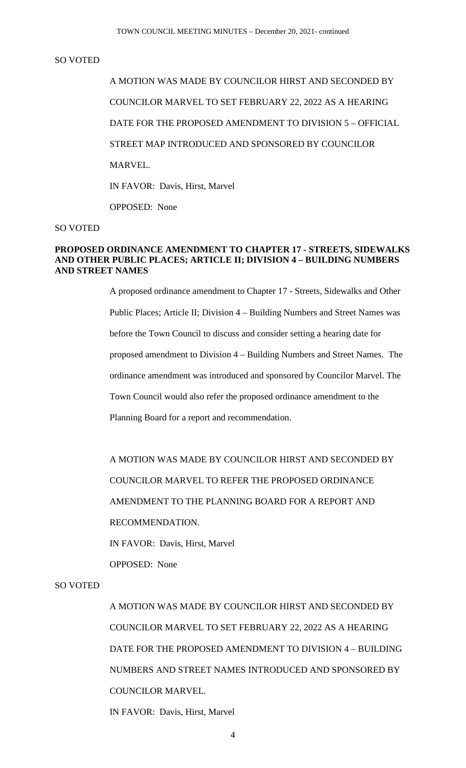## SO VOTED

A MOTION WAS MADE BY COUNCILOR HIRST AND SECONDED BY COUNCILOR MARVEL TO SET FEBRUARY 22, 2022 AS A HEARING DATE FOR THE PROPOSED AMENDMENT TO DIVISION 5 – OFFICIAL STREET MAP INTRODUCED AND SPONSORED BY COUNCILOR MARVEL. IN FAVOR: Davis, Hirst, Marvel OPPOSED: None

#### SO VOTED

## **PROPOSED ORDINANCE AMENDMENT TO CHAPTER 17 - STREETS, SIDEWALKS AND OTHER PUBLIC PLACES; ARTICLE II; DIVISION 4 – BUILDING NUMBERS AND STREET NAMES**

A proposed ordinance amendment to Chapter 17 - Streets, Sidewalks and Other Public Places; Article II; Division 4 – Building Numbers and Street Names was before the Town Council to discuss and consider setting a hearing date for proposed amendment to Division 4 – Building Numbers and Street Names. The ordinance amendment was introduced and sponsored by Councilor Marvel. The Town Council would also refer the proposed ordinance amendment to the Planning Board for a report and recommendation.

A MOTION WAS MADE BY COUNCILOR HIRST AND SECONDED BY COUNCILOR MARVEL TO REFER THE PROPOSED ORDINANCE AMENDMENT TO THE PLANNING BOARD FOR A REPORT AND RECOMMENDATION.

IN FAVOR: Davis, Hirst, Marvel

OPPOSED: None

## SO VOTED

A MOTION WAS MADE BY COUNCILOR HIRST AND SECONDED BY COUNCILOR MARVEL TO SET FEBRUARY 22, 2022 AS A HEARING DATE FOR THE PROPOSED AMENDMENT TO DIVISION 4 – BUILDING NUMBERS AND STREET NAMES INTRODUCED AND SPONSORED BY COUNCILOR MARVEL.

IN FAVOR: Davis, Hirst, Marvel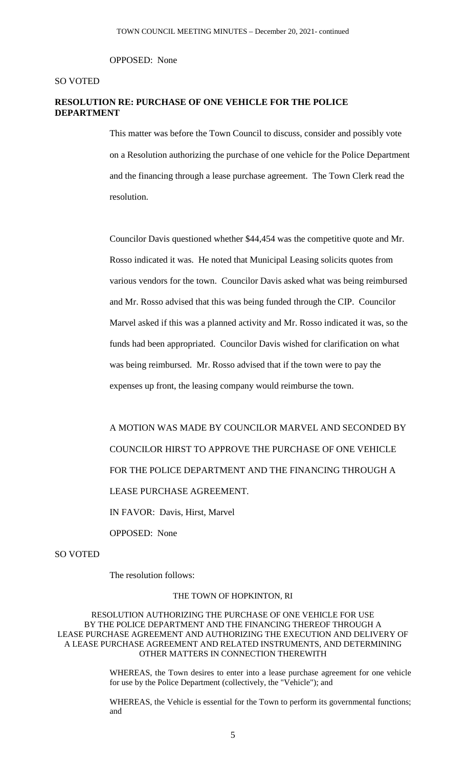OPPOSED: None

### SO VOTED

## **RESOLUTION RE: PURCHASE OF ONE VEHICLE FOR THE POLICE DEPARTMENT**

This matter was before the Town Council to discuss, consider and possibly vote on a Resolution authorizing the purchase of one vehicle for the Police Department and the financing through a lease purchase agreement. The Town Clerk read the resolution.

Councilor Davis questioned whether \$44,454 was the competitive quote and Mr. Rosso indicated it was. He noted that Municipal Leasing solicits quotes from various vendors for the town. Councilor Davis asked what was being reimbursed and Mr. Rosso advised that this was being funded through the CIP. Councilor Marvel asked if this was a planned activity and Mr. Rosso indicated it was, so the funds had been appropriated. Councilor Davis wished for clarification on what was being reimbursed. Mr. Rosso advised that if the town were to pay the expenses up front, the leasing company would reimburse the town.

A MOTION WAS MADE BY COUNCILOR MARVEL AND SECONDED BY COUNCILOR HIRST TO APPROVE THE PURCHASE OF ONE VEHICLE FOR THE POLICE DEPARTMENT AND THE FINANCING THROUGH A LEASE PURCHASE AGREEMENT. IN FAVOR: Davis, Hirst, Marvel

OPPOSED: None

SO VOTED

The resolution follows:

#### THE TOWN OF HOPKINTON, RI

RESOLUTION AUTHORIZING THE PURCHASE OF ONE VEHICLE FOR USE BY THE POLICE DEPARTMENT AND THE FINANCING THEREOF THROUGH A LEASE PURCHASE AGREEMENT AND AUTHORIZING THE EXECUTION AND DELIVERY OF A LEASE PURCHASE AGREEMENT AND RELATED INSTRUMENTS, AND DETERMINING OTHER MATTERS IN CONNECTION THEREWITH

> WHEREAS, the Town desires to enter into a lease purchase agreement for one vehicle for use by the Police Department (collectively, the "Vehicle"); and

> WHEREAS, the Vehicle is essential for the Town to perform its governmental functions; and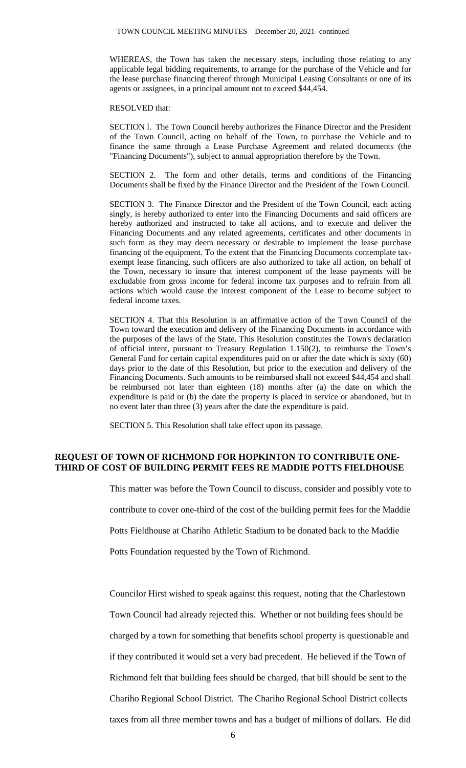WHEREAS, the Town has taken the necessary steps, including those relating to any applicable legal bidding requirements, to arrange for the purchase of the Vehicle and for the lease purchase financing thereof through Municipal Leasing Consultants or one of its agents or assignees, in a principal amount not to exceed \$44,454.

#### RESOLVED that:

SECTION l. The Town Council hereby authorizes the Finance Director and the President of the Town Council, acting on behalf of the Town, to purchase the Vehicle and to finance the same through a Lease Purchase Agreement and related documents (the "Financing Documents"), subject to annual appropriation therefore by the Town.

SECTION 2. The form and other details, terms and conditions of the Financing Documents shall be fixed by the Finance Director and the President of the Town Council.

SECTION 3. The Finance Director and the President of the Town Council, each acting singly, is hereby authorized to enter into the Financing Documents and said officers are hereby authorized and instructed to take all actions, and to execute and deliver the Financing Documents and any related agreements, certificates and other documents in such form as they may deem necessary or desirable to implement the lease purchase financing of the equipment. To the extent that the Financing Documents contemplate taxexempt lease financing, such officers are also authorized to take all action, on behalf of the Town, necessary to insure that interest component of the lease payments will be excludable from gross income for federal income tax purposes and to refrain from all actions which would cause the interest component of the Lease to become subject to federal income taxes.

SECTION 4. That this Resolution is an affirmative action of the Town Council of the Town toward the execution and delivery of the Financing Documents in accordance with the purposes of the laws of the State. This Resolution constitutes the Town's declaration of official intent, pursuant to Treasury Regulation 1.150(2), to reimburse the Town's General Fund for certain capital expenditures paid on or after the date which is sixty (60) days prior to the date of this Resolution, but prior to the execution and delivery of the Financing Documents. Such amounts to be reimbursed shall not exceed \$44,454 and shall be reimbursed not later than eighteen (18) months after (a) the date on which the expenditure is paid or (b) the date the property is placed in service or abandoned, but in no event later than three (3) years after the date the expenditure is paid.

SECTION 5. This Resolution shall take effect upon its passage.

## **REQUEST OF TOWN OF RICHMOND FOR HOPKINTON TO CONTRIBUTE ONE-THIRD OF COST OF BUILDING PERMIT FEES RE MADDIE POTTS FIELDHOUSE**

This matter was before the Town Council to discuss, consider and possibly vote to contribute to cover one-third of the cost of the building permit fees for the Maddie Potts Fieldhouse at Chariho Athletic Stadium to be donated back to the Maddie

Potts Foundation requested by the Town of Richmond.

Councilor Hirst wished to speak against this request, noting that the Charlestown Town Council had already rejected this. Whether or not building fees should be charged by a town for something that benefits school property is questionable and if they contributed it would set a very bad precedent. He believed if the Town of Richmond felt that building fees should be charged, that bill should be sent to the Chariho Regional School District. The Chariho Regional School District collects taxes from all three member towns and has a budget of millions of dollars. He did